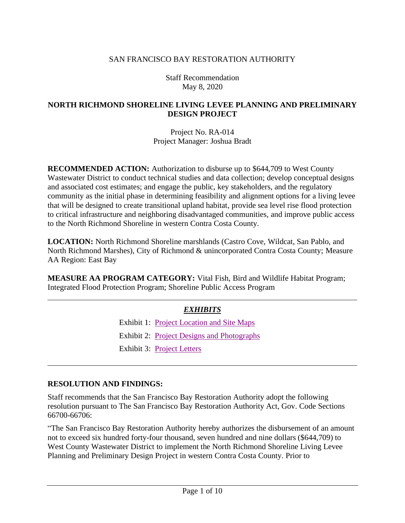#### SAN FRANCISCO BAY RESTORATION AUTHORITY

Staff Recommendation May 8, 2020

#### **NORTH RICHMOND SHORELINE LIVING LEVEE PLANNING AND PRELIMINARY DESIGN PROJECT**

Project No. RA-014 Project Manager: Joshua Bradt

**RECOMMENDED ACTION:** Authorization to disburse up to \$644,709 to West County Wastewater District to conduct technical studies and data collection; develop conceptual designs and associated cost estimates; and engage the public, key stakeholders, and the regulatory community as the initial phase in determining feasibility and alignment options for a living levee that will be designed to create transitional upland habitat, provide sea level rise flood protection to critical infrastructure and neighboring disadvantaged communities, and improve public access to the North Richmond Shoreline in western Contra Costa County.

**LOCATION:** North Richmond Shoreline marshlands (Castro Cove, Wildcat, San Pablo, and North Richmond Marshes), City of Richmond & unincorporated Contra Costa County; Measure AA Region: East Bay

**MEASURE AA PROGRAM CATEGORY:** Vital Fish, Bird and Wildlife Habitat Program; Integrated Flood Protection Program; Shoreline Public Access Program

### *EXHIBITS*

Exhibit 1: [Project Location and Site Maps](http://sfbayrestore.org/sites/default/files/2020-05/EX1-NO~1.PDF)

Exhibit 2: [Project Designs and Photographs](http://sfbayrestore.org/sites/default/files/2020-05/Ex2%20-%20Project%20Designs%20and%20Photographs.pdf)

Exhibit 3: [Project Letters](http://sfbayrestore.org/sites/default/files/2020-05/Ex3%20-%20Project%20Letters.pdf)

#### **RESOLUTION AND FINDINGS:**

Staff recommends that the San Francisco Bay Restoration Authority adopt the following resolution pursuant to The San Francisco Bay Restoration Authority Act, Gov. Code Sections 66700-66706:

"The San Francisco Bay Restoration Authority hereby authorizes the disbursement of an amount not to exceed six hundred forty-four thousand, seven hundred and nine dollars (\$644,709) to West County Wastewater District to implement the North Richmond Shoreline Living Levee Planning and Preliminary Design Project in western Contra Costa County. Prior to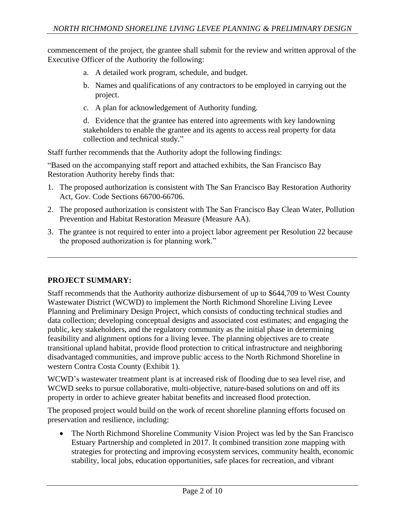commencement of the project, the grantee shall submit for the review and written approval of the Executive Officer of the Authority the following:

- a. A detailed work program, schedule, and budget.
- b. Names and qualifications of any contractors to be employed in carrying out the project.
- c. A plan for acknowledgement of Authority funding.

d. Evidence that the grantee has entered into agreements with key landowning stakeholders to enable the grantee and its agents to access real property for data collection and technical study."

Staff further recommends that the Authority adopt the following findings:

"Based on the accompanying staff report and attached exhibits, the San Francisco Bay Restoration Authority hereby finds that:

- 1. The proposed authorization is consistent with The San Francisco Bay Restoration Authority Act, Gov. Code Sections 66700-66706.
- 2. The proposed authorization is consistent with The San Francisco Bay Clean Water, Pollution Prevention and Habitat Restoration Measure (Measure AA).
- 3. The grantee is not required to enter into a project labor agreement per Resolution 22 because the proposed authorization is for planning work."

### **PROJECT SUMMARY:**

Staff recommends that the Authority authorize disbursement of up to \$644,709 to West County Wastewater District (WCWD) to implement the North Richmond Shoreline Living Levee Planning and Preliminary Design Project, which consists of conducting technical studies and data collection; developing conceptual designs and associated cost estimates; and engaging the public, key stakeholders, and the regulatory community as the initial phase in determining feasibility and alignment options for a living levee. The planning objectives are to create transitional upland habitat, provide flood protection to critical infrastructure and neighboring disadvantaged communities, and improve public access to the North Richmond Shoreline in western Contra Costa County (Exhibit 1).

WCWD's wastewater treatment plant is at increased risk of flooding due to sea level rise, and WCWD seeks to pursue collaborative, multi-objective, nature-based solutions on and off its property in order to achieve greater habitat benefits and increased flood protection.

The proposed project would build on the work of recent shoreline planning efforts focused on preservation and resilience, including:

• The North Richmond Shoreline Community Vision Project was led by the San Francisco Estuary Partnership and completed in 2017. It combined transition zone mapping with strategies for protecting and improving ecosystem services, community health, economic stability, local jobs, education opportunities, safe places for recreation, and vibrant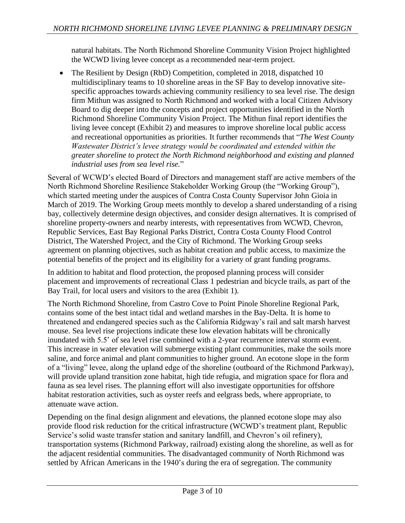natural habitats. The North Richmond Shoreline Community Vision Project highlighted the WCWD living levee concept as a recommended near-term project.

• The Resilient by Design (RbD) Competition, completed in 2018, dispatched 10 multidisciplinary teams to 10 shoreline areas in the SF Bay to develop innovative sitespecific approaches towards achieving community resiliency to sea level rise. The design firm Mithun was assigned to North Richmond and worked with a local Citizen Advisory Board to dig deeper into the concepts and project opportunities identified in the North Richmond Shoreline Community Vision Project. The Mithun final report identifies the living levee concept (Exhibit 2) and measures to improve shoreline local public access and recreational opportunities as priorities. It further recommends that "*The West County Wastewater District's levee strategy would be coordinated and extended within the greater shoreline to protect the North Richmond neighborhood and existing and planned industrial uses from sea level rise.*"

Several of WCWD's elected Board of Directors and management staff are active members of the North Richmond Shoreline Resilience Stakeholder Working Group (the "Working Group"), which started meeting under the auspices of Contra Costa County Supervisor John Gioia in March of 2019. The Working Group meets monthly to develop a shared understanding of a rising bay, collectively determine design objectives, and consider design alternatives. It is comprised of shoreline property-owners and nearby interests, with representatives from WCWD, Chevron, Republic Services, East Bay Regional Parks District, Contra Costa County Flood Control District, The Watershed Project, and the City of Richmond. The Working Group seeks agreement on planning objectives, such as habitat creation and public access, to maximize the potential benefits of the project and its eligibility for a variety of grant funding programs.

In addition to habitat and flood protection, the proposed planning process will consider placement and improvements of recreational Class 1 pedestrian and bicycle trails, as part of the Bay Trail, for local users and visitors to the area (Exhibit 1).

The North Richmond Shoreline, from Castro Cove to Point Pinole Shoreline Regional Park, contains some of the best intact tidal and wetland marshes in the Bay-Delta. It is home to threatened and endangered species such as the California Ridgway's rail and salt marsh harvest mouse. Sea level rise projections indicate these low elevation habitats will be chronically inundated with 5.5' of sea level rise combined with a 2-year recurrence interval storm event. This increase in water elevation will submerge existing plant communities, make the soils more saline, and force animal and plant communities to higher ground. An ecotone slope in the form of a "living" levee, along the upland edge of the shoreline (outboard of the Richmond Parkway), will provide upland transition zone habitat, high tide refugia, and migration space for flora and fauna as sea level rises. The planning effort will also investigate opportunities for offshore habitat restoration activities, such as oyster reefs and eelgrass beds, where appropriate, to attenuate wave action.

Depending on the final design alignment and elevations, the planned ecotone slope may also provide flood risk reduction for the critical infrastructure (WCWD's treatment plant, Republic Service's solid waste transfer station and sanitary landfill, and Chevron's oil refinery), transportation systems (Richmond Parkway, railroad) existing along the shoreline, as well as for the adjacent residential communities. The disadvantaged community of North Richmond was settled by African Americans in the 1940's during the era of segregation. The community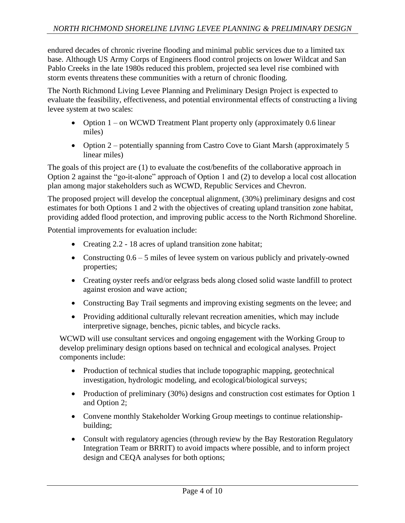endured decades of chronic riverine flooding and minimal public services due to a limited tax base. Although US Army Corps of Engineers flood control projects on lower Wildcat and San Pablo Creeks in the late 1980s reduced this problem, projected sea level rise combined with storm events threatens these communities with a return of chronic flooding.

The North Richmond Living Levee Planning and Preliminary Design Project is expected to evaluate the feasibility, effectiveness, and potential environmental effects of constructing a living levee system at two scales:

- Option 1 on WCWD Treatment Plant property only (approximately 0.6 linear miles)
- Option 2 potentially spanning from Castro Cove to Giant Marsh (approximately 5 linear miles)

The goals of this project are (1) to evaluate the cost/benefits of the collaborative approach in Option 2 against the "go-it-alone" approach of Option 1 and (2) to develop a local cost allocation plan among major stakeholders such as WCWD, Republic Services and Chevron.

The proposed project will develop the conceptual alignment, (30%) preliminary designs and cost estimates for both Options 1 and 2 with the objectives of creating upland transition zone habitat, providing added flood protection, and improving public access to the North Richmond Shoreline.

Potential improvements for evaluation include:

- Creating 2.2 18 acres of upland transition zone habitat;
- Constructing  $0.6 5$  miles of levee system on various publicly and privately-owned properties;
- Creating oyster reefs and/or eelgrass beds along closed solid waste landfill to protect against erosion and wave action;
- Constructing Bay Trail segments and improving existing segments on the levee; and
- Providing additional culturally relevant recreation amenities, which may include interpretive signage, benches, picnic tables, and bicycle racks.

WCWD will use consultant services and ongoing engagement with the Working Group to develop preliminary design options based on technical and ecological analyses. Project components include:

- Production of technical studies that include topographic mapping, geotechnical investigation, hydrologic modeling, and ecological/biological surveys;
- Production of preliminary (30%) designs and construction cost estimates for Option 1 and Option 2;
- Convene monthly Stakeholder Working Group meetings to continue relationshipbuilding;
- Consult with regulatory agencies (through review by the Bay Restoration Regulatory Integration Team or BRRIT) to avoid impacts where possible, and to inform project design and CEQA analyses for both options;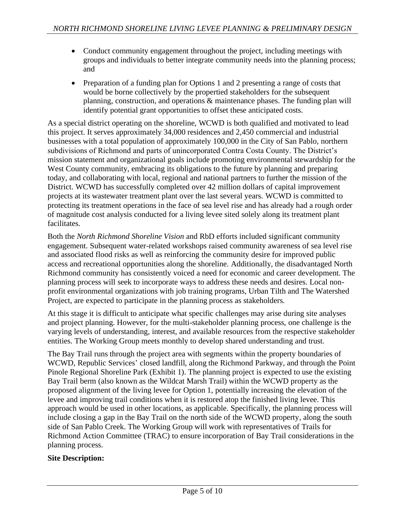- Conduct community engagement throughout the project, including meetings with groups and individuals to better integrate community needs into the planning process; and
- Preparation of a funding plan for Options 1 and 2 presenting a range of costs that would be borne collectively by the propertied stakeholders for the subsequent planning, construction, and operations & maintenance phases. The funding plan will identify potential grant opportunities to offset these anticipated costs.

As a special district operating on the shoreline, WCWD is both qualified and motivated to lead this project. It serves approximately 34,000 residences and 2,450 commercial and industrial businesses with a total population of approximately 100,000 in the City of San Pablo, northern subdivisions of Richmond and parts of unincorporated Contra Costa County. The District's mission statement and organizational goals include promoting environmental stewardship for the West County community, embracing its obligations to the future by planning and preparing today, and collaborating with local, regional and national partners to further the mission of the District. WCWD has successfully completed over 42 million dollars of capital improvement projects at its wastewater treatment plant over the last several years. WCWD is committed to protecting its treatment operations in the face of sea level rise and has already had a rough order of magnitude cost analysis conducted for a living levee sited solely along its treatment plant facilitates.

Both the *North Richmond Shoreline Vision* and RbD efforts included significant community engagement. Subsequent water-related workshops raised community awareness of sea level rise and associated flood risks as well as reinforcing the community desire for improved public access and recreational opportunities along the shoreline. Additionally, the disadvantaged North Richmond community has consistently voiced a need for economic and career development. The planning process will seek to incorporate ways to address these needs and desires. Local nonprofit environmental organizations with job training programs, Urban Tilth and The Watershed Project, are expected to participate in the planning process as stakeholders.

At this stage it is difficult to anticipate what specific challenges may arise during site analyses and project planning. However, for the multi-stakeholder planning process, one challenge is the varying levels of understanding, interest, and available resources from the respective stakeholder entities. The Working Group meets monthly to develop shared understanding and trust.

The Bay Trail runs through the project area with segments within the property boundaries of WCWD, Republic Services' closed landfill, along the Richmond Parkway, and through the Point Pinole Regional Shoreline Park (Exhibit 1). The planning project is expected to use the existing Bay Trail berm (also known as the Wildcat Marsh Trail) within the WCWD property as the proposed alignment of the living levee for Option 1, potentially increasing the elevation of the levee and improving trail conditions when it is restored atop the finished living levee. This approach would be used in other locations, as applicable. Specifically, the planning process will include closing a gap in the Bay Trail on the north side of the WCWD property, along the south side of San Pablo Creek. The Working Group will work with representatives of Trails for Richmond Action Committee (TRAC) to ensure incorporation of Bay Trail considerations in the planning process.

### **Site Description:**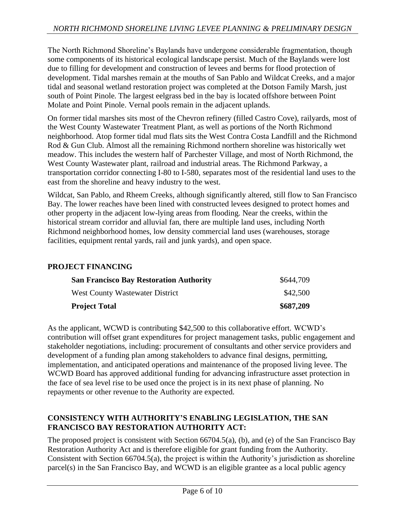The North Richmond Shoreline's Baylands have undergone considerable fragmentation, though some components of its historical ecological landscape persist. Much of the Baylands were lost due to filling for development and construction of levees and berms for flood protection of development. Tidal marshes remain at the mouths of San Pablo and Wildcat Creeks, and a major tidal and seasonal wetland restoration project was completed at the Dotson Family Marsh, just south of Point Pinole. The largest eelgrass bed in the bay is located offshore between Point Molate and Point Pinole. Vernal pools remain in the adjacent uplands.

On former tidal marshes sits most of the Chevron refinery (filled Castro Cove), railyards, most of the West County Wastewater Treatment Plant, as well as portions of the North Richmond neighborhood. Atop former tidal mud flats sits the West Contra Costa Landfill and the Richmond Rod & Gun Club. Almost all the remaining Richmond northern shoreline was historically wet meadow. This includes the western half of Parchester Village, and most of North Richmond, the West County Wastewater plant, railroad and industrial areas. The Richmond Parkway, a transportation corridor connecting I-80 to I-580, separates most of the residential land uses to the east from the shoreline and heavy industry to the west.

Wildcat, San Pablo, and Rheem Creeks, although significantly altered, still flow to San Francisco Bay. The lower reaches have been lined with constructed levees designed to protect homes and other property in the adjacent low-lying areas from flooding. Near the creeks, within the historical stream corridor and alluvial fan, there are multiple land uses, including North Richmond neighborhood homes, low density commercial land uses (warehouses, storage facilities, equipment rental yards, rail and junk yards), and open space.

### **PROJECT FINANCING**

| <b>San Francisco Bay Restoration Authority</b><br>West County Wastewater District | \$644,709<br>\$42,500 |
|-----------------------------------------------------------------------------------|-----------------------|
|                                                                                   |                       |

As the applicant, WCWD is contributing \$42,500 to this collaborative effort. WCWD's contribution will offset grant expenditures for project management tasks, public engagement and stakeholder negotiations, including: procurement of consultants and other service providers and development of a funding plan among stakeholders to advance final designs, permitting, implementation, and anticipated operations and maintenance of the proposed living levee. The WCWD Board has approved additional funding for advancing infrastructure asset protection in the face of sea level rise to be used once the project is in its next phase of planning. No repayments or other revenue to the Authority are expected.

### **CONSISTENCY WITH AUTHORITY'S ENABLING LEGISLATION, THE SAN FRANCISCO BAY RESTORATION AUTHORITY ACT:**

The proposed project is consistent with Section 66704.5(a), (b), and (e) of the San Francisco Bay Restoration Authority Act and is therefore eligible for grant funding from the Authority. Consistent with Section 66704.5(a), the project is within the Authority's jurisdiction as shoreline parcel(s) in the San Francisco Bay, and WCWD is an eligible grantee as a local public agency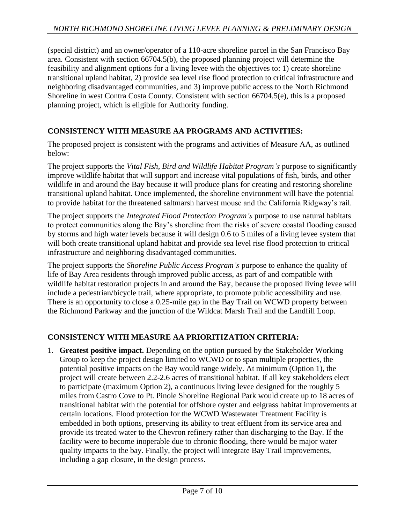(special district) and an owner/operator of a 110-acre shoreline parcel in the San Francisco Bay area. Consistent with section 66704.5(b), the proposed planning project will determine the feasibility and alignment options for a living levee with the objectives to: 1) create shoreline transitional upland habitat, 2) provide sea level rise flood protection to critical infrastructure and neighboring disadvantaged communities, and 3) improve public access to the North Richmond Shoreline in west Contra Costa County. Consistent with section 66704.5(e), this is a proposed planning project, which is eligible for Authority funding.

## **CONSISTENCY WITH MEASURE AA PROGRAMS AND ACTIVITIES:**

The proposed project is consistent with the programs and activities of Measure AA, as outlined below:

The project supports the *Vital Fish, Bird and Wildlife Habitat Program's* purpose to significantly improve wildlife habitat that will support and increase vital populations of fish, birds, and other wildlife in and around the Bay because it will produce plans for creating and restoring shoreline transitional upland habitat. Once implemented, the shoreline environment will have the potential to provide habitat for the threatened saltmarsh harvest mouse and the California Ridgway's rail.

The project supports the *Integrated Flood Protection Program's* purpose to use natural habitats to protect communities along the Bay's shoreline from the risks of severe coastal flooding caused by storms and high water levels because it will design 0.6 to 5 miles of a living levee system that will both create transitional upland habitat and provide sea level rise flood protection to critical infrastructure and neighboring disadvantaged communities.

The project supports the *Shoreline Public Access Program's* purpose to enhance the quality of life of Bay Area residents through improved public access, as part of and compatible with wildlife habitat restoration projects in and around the Bay, because the proposed living levee will include a pedestrian/bicycle trail, where appropriate, to promote public accessibility and use. There is an opportunity to close a 0.25-mile gap in the Bay Trail on WCWD property between the Richmond Parkway and the junction of the Wildcat Marsh Trail and the Landfill Loop.

### **CONSISTENCY WITH MEASURE AA PRIORITIZATION CRITERIA:**

1. **Greatest positive impact.** Depending on the option pursued by the Stakeholder Working Group to keep the project design limited to WCWD or to span multiple properties, the potential positive impacts on the Bay would range widely. At minimum (Option 1), the project will create between 2.2-2.6 acres of transitional habitat. If all key stakeholders elect to participate (maximum Option 2), a continuous living levee designed for the roughly 5 miles from Castro Cove to Pt. Pinole Shoreline Regional Park would create up to 18 acres of transitional habitat with the potential for offshore oyster and eelgrass habitat improvements at certain locations. Flood protection for the WCWD Wastewater Treatment Facility is embedded in both options, preserving its ability to treat effluent from its service area and provide its treated water to the Chevron refinery rather than discharging to the Bay. If the facility were to become inoperable due to chronic flooding, there would be major water quality impacts to the bay. Finally, the project will integrate Bay Trail improvements, including a gap closure, in the design process.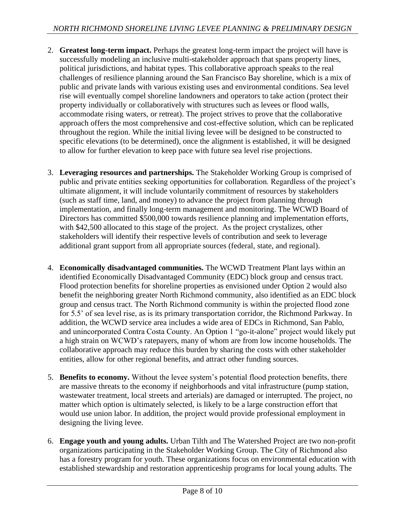- 2. **Greatest long-term impact.** Perhaps the greatest long-term impact the project will have is successfully modeling an inclusive multi-stakeholder approach that spans property lines, political jurisdictions, and habitat types. This collaborative approach speaks to the real challenges of resilience planning around the San Francisco Bay shoreline, which is a mix of public and private lands with various existing uses and environmental conditions. Sea level rise will eventually compel shoreline landowners and operators to take action (protect their property individually or collaboratively with structures such as levees or flood walls, accommodate rising waters, or retreat). The project strives to prove that the collaborative approach offers the most comprehensive and cost-effective solution, which can be replicated throughout the region. While the initial living levee will be designed to be constructed to specific elevations (to be determined), once the alignment is established, it will be designed to allow for further elevation to keep pace with future sea level rise projections.
- 3. **Leveraging resources and partnerships.** The Stakeholder Working Group is comprised of public and private entities seeking opportunities for collaboration. Regardless of the project's ultimate alignment, it will include voluntarily commitment of resources by stakeholders (such as staff time, land, and money) to advance the project from planning through implementation, and finally long-term management and monitoring. The WCWD Board of Directors has committed \$500,000 towards resilience planning and implementation efforts, with \$42,500 allocated to this stage of the project. As the project crystalizes, other stakeholders will identify their respective levels of contribution and seek to leverage additional grant support from all appropriate sources (federal, state, and regional).
- 4. **Economically disadvantaged communities.** The WCWD Treatment Plant lays within an identified Economically Disadvantaged Community (EDC) block group and census tract. Flood protection benefits for shoreline properties as envisioned under Option 2 would also benefit the neighboring greater North Richmond community, also identified as an EDC block group and census tract. The North Richmond community is within the projected flood zone for 5.5' of sea level rise, as is its primary transportation corridor, the Richmond Parkway. In addition, the WCWD service area includes a wide area of EDCs in Richmond, San Pablo, and unincorporated Contra Costa County. An Option 1 "go-it-alone" project would likely put a high strain on WCWD's ratepayers, many of whom are from low income households. The collaborative approach may reduce this burden by sharing the costs with other stakeholder entities, allow for other regional benefits, and attract other funding sources.
- 5. **Benefits to economy.** Without the levee system's potential flood protection benefits, there are massive threats to the economy if neighborhoods and vital infrastructure (pump station, wastewater treatment, local streets and arterials) are damaged or interrupted. The project, no matter which option is ultimately selected, is likely to be a large construction effort that would use union labor. In addition, the project would provide professional employment in designing the living levee.
- 6. **Engage youth and young adults.** Urban Tilth and The Watershed Project are two non-profit organizations participating in the Stakeholder Working Group. The City of Richmond also has a forestry program for youth. These organizations focus on environmental education with established stewardship and restoration apprenticeship programs for local young adults. The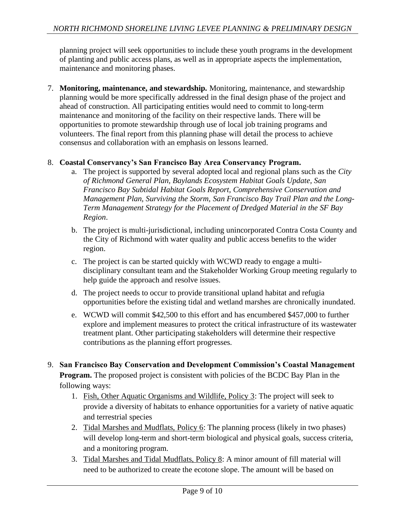planning project will seek opportunities to include these youth programs in the development of planting and public access plans, as well as in appropriate aspects the implementation, maintenance and monitoring phases.

7. **Monitoring, maintenance, and stewardship.** Monitoring, maintenance, and stewardship planning would be more specifically addressed in the final design phase of the project and ahead of construction. All participating entities would need to commit to long-term maintenance and monitoring of the facility on their respective lands. There will be opportunities to promote stewardship through use of local job training programs and volunteers. The final report from this planning phase will detail the process to achieve consensus and collaboration with an emphasis on lessons learned.

### 8. **Coastal Conservancy's San Francisco Bay Area Conservancy Program.**

- a. The project is supported by several adopted local and regional plans such as the *City of Richmond General Plan, Baylands Ecosystem Habitat Goals Update, San Francisco Bay Subtidal Habitat Goals Report, Comprehensive Conservation and Management Plan, Surviving the Storm, San Francisco Bay Trail Plan and the Long-Term Management Strategy for the Placement of Dredged Material in the SF Bay Region*.
- b. The project is multi-jurisdictional, including unincorporated Contra Costa County and the City of Richmond with water quality and public access benefits to the wider region.
- c. The project is can be started quickly with WCWD ready to engage a multidisciplinary consultant team and the Stakeholder Working Group meeting regularly to help guide the approach and resolve issues.
- d. The project needs to occur to provide transitional upland habitat and refugia opportunities before the existing tidal and wetland marshes are chronically inundated.
- e. WCWD will commit \$42,500 to this effort and has encumbered \$457,000 to further explore and implement measures to protect the critical infrastructure of its wastewater treatment plant. Other participating stakeholders will determine their respective contributions as the planning effort progresses.
- 9. **San Francisco Bay Conservation and Development Commission's Coastal Management Program.** The proposed project is consistent with policies of the BCDC Bay Plan in the following ways:
	- 1. Fish, Other Aquatic Organisms and Wildlife, Policy 3: The project will seek to provide a diversity of habitats to enhance opportunities for a variety of native aquatic and terrestrial species
	- 2. Tidal Marshes and Mudflats, Policy 6: The planning process (likely in two phases) will develop long-term and short-term biological and physical goals, success criteria, and a monitoring program.
	- 3. Tidal Marshes and Tidal Mudflats, Policy 8: A minor amount of fill material will need to be authorized to create the ecotone slope. The amount will be based on